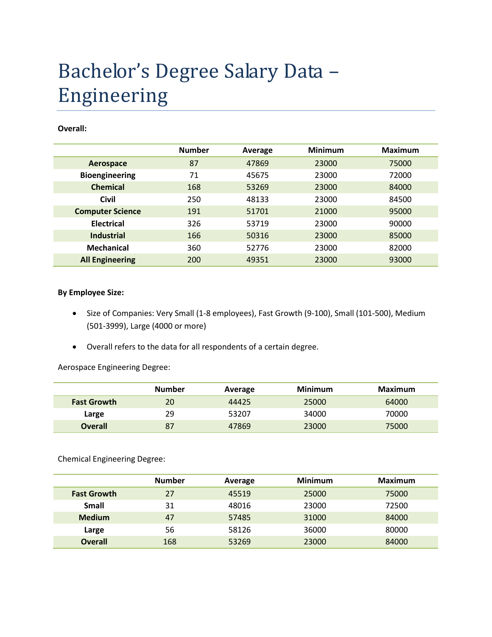## Bachelor's Degree Salary Data – Engineering

## **Overall:**

|                         | <b>Number</b> | Average | <b>Minimum</b> | <b>Maximum</b> |
|-------------------------|---------------|---------|----------------|----------------|
| Aerospace               | 87            | 47869   | 23000          | 75000          |
| <b>Bioengineering</b>   | 71            | 45675   | 23000          | 72000          |
| <b>Chemical</b>         | 168           | 53269   | 23000          | 84000          |
| <b>Civil</b>            | 250           | 48133   | 23000          | 84500          |
| <b>Computer Science</b> | 191           | 51701   | 21000          | 95000          |
| <b>Electrical</b>       | 326           | 53719   | 23000          | 90000          |
| <b>Industrial</b>       | 166           | 50316   | 23000          | 85000          |
| <b>Mechanical</b>       | 360           | 52776   | 23000          | 82000          |
| <b>All Engineering</b>  | 200           | 49351   | 23000          | 93000          |

## **By Employee Size:**

- Size of Companies: Very Small (1-8 employees), Fast Growth (9-100), Small (101-500), Medium (501-3999), Large (4000 or more)
- Overall refers to the data for all respondents of a certain degree.

Aerospace Engineering Degree:

|                    | <b>Number</b> | Average | Minimum | Maximum |
|--------------------|---------------|---------|---------|---------|
| <b>Fast Growth</b> | 20            | 44425   | 25000   | 64000   |
| Large              | 29            | 53207   | 34000   | 70000   |
| <b>Overall</b>     | 87            | 47869   | 23000   | 75000   |

Chemical Engineering Degree:

|                    | <b>Number</b> | Average | <b>Minimum</b> | Maximum |
|--------------------|---------------|---------|----------------|---------|
| <b>Fast Growth</b> | 27            | 45519   | 25000          | 75000   |
| Small              | 31            | 48016   | 23000          | 72500   |
| <b>Medium</b>      | 47            | 57485   | 31000          | 84000   |
| Large              | 56            | 58126   | 36000          | 80000   |
| <b>Overall</b>     | 168           | 53269   | 23000          | 84000   |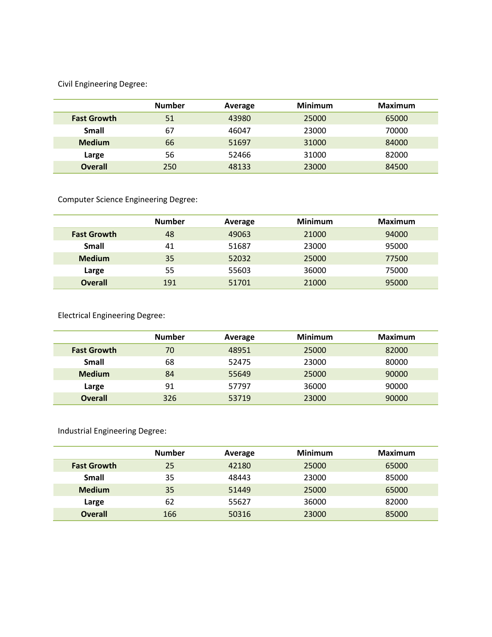Civil Engineering Degree:

|                    | <b>Number</b> | Average | <b>Minimum</b> | Maximum |
|--------------------|---------------|---------|----------------|---------|
| <b>Fast Growth</b> | 51            | 43980   | 25000          | 65000   |
| Small              | 67            | 46047   | 23000          | 70000   |
| <b>Medium</b>      | 66            | 51697   | 31000          | 84000   |
| Large              | 56            | 52466   | 31000          | 82000   |
| <b>Overall</b>     | 250           | 48133   | 23000          | 84500   |

Computer Science Engineering Degree:

|                    | <b>Number</b> | Average | <b>Minimum</b> | <b>Maximum</b> |
|--------------------|---------------|---------|----------------|----------------|
| <b>Fast Growth</b> | 48            | 49063   | 21000          | 94000          |
| Small              | 41            | 51687   | 23000          | 95000          |
| <b>Medium</b>      | 35            | 52032   | 25000          | 77500          |
| Large              | 55            | 55603   | 36000          | 75000          |
| <b>Overall</b>     | 191           | 51701   | 21000          | 95000          |

Electrical Engineering Degree:

|                    | <b>Number</b> | Average | <b>Minimum</b> | <b>Maximum</b> |
|--------------------|---------------|---------|----------------|----------------|
| <b>Fast Growth</b> | 70            | 48951   | 25000          | 82000          |
| Small              | 68            | 52475   | 23000          | 80000          |
| <b>Medium</b>      | 84            | 55649   | 25000          | 90000          |
| Large              | 91            | 57797   | 36000          | 90000          |
| <b>Overall</b>     | 326           | 53719   | 23000          | 90000          |

Industrial Engineering Degree:

|                    | <b>Number</b> | Average | <b>Minimum</b> | <b>Maximum</b> |
|--------------------|---------------|---------|----------------|----------------|
| <b>Fast Growth</b> | 25            | 42180   | 25000          | 65000          |
| <b>Small</b>       | 35            | 48443   | 23000          | 85000          |
| <b>Medium</b>      | 35            | 51449   | 25000          | 65000          |
| Large              | 62            | 55627   | 36000          | 82000          |
| <b>Overall</b>     | 166           | 50316   | 23000          | 85000          |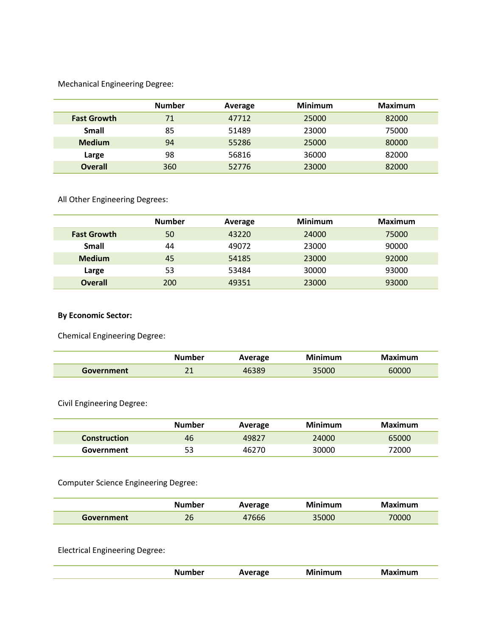Mechanical Engineering Degree:

|                    | <b>Number</b> | Average | <b>Minimum</b> | <b>Maximum</b> |
|--------------------|---------------|---------|----------------|----------------|
| <b>Fast Growth</b> | 71            | 47712   | 25000          | 82000          |
| Small              | 85            | 51489   | 23000          | 75000          |
| <b>Medium</b>      | 94            | 55286   | 25000          | 80000          |
| Large              | 98            | 56816   | 36000          | 82000          |
| <b>Overall</b>     | 360           | 52776   | 23000          | 82000          |

All Other Engineering Degrees:

|                    | <b>Number</b> | Average | <b>Minimum</b> | Maximum |
|--------------------|---------------|---------|----------------|---------|
| <b>Fast Growth</b> | 50            | 43220   | 24000          | 75000   |
| <b>Small</b>       | 44            | 49072   | 23000          | 90000   |
| <b>Medium</b>      | 45            | 54185   | 23000          | 92000   |
| Large              | 53            | 53484   | 30000          | 93000   |
| <b>Overall</b>     | 200           | 49351   | 23000          | 93000   |

**By Economic Sector:**

Chemical Engineering Degree:

|            | Number            | Average | Minimum | Maximum |
|------------|-------------------|---------|---------|---------|
| Government | า 1<br><u>_ _</u> | 46389   | 35000   | 60000   |

Civil Engineering Degree:

|                     | Number | Average | Minimum | Maximum |
|---------------------|--------|---------|---------|---------|
| <b>Construction</b> | 46     | 49827   | 24000   | 65000   |
| Government          | 53     | 46270   | 30000   | 72000   |

Computer Science Engineering Degree:

|            | Number | Average | Minimum | Maximum |
|------------|--------|---------|---------|---------|
| Government | 26     | 7666    | 35000   | '0000   |

Electrical Engineering Degree:

| nher | rage | $\nu$<br>the contract of the contract of the contract of the contract of the contract of the contract of the contract of | Im<br>. |
|------|------|--------------------------------------------------------------------------------------------------------------------------|---------|
|      |      |                                                                                                                          |         |